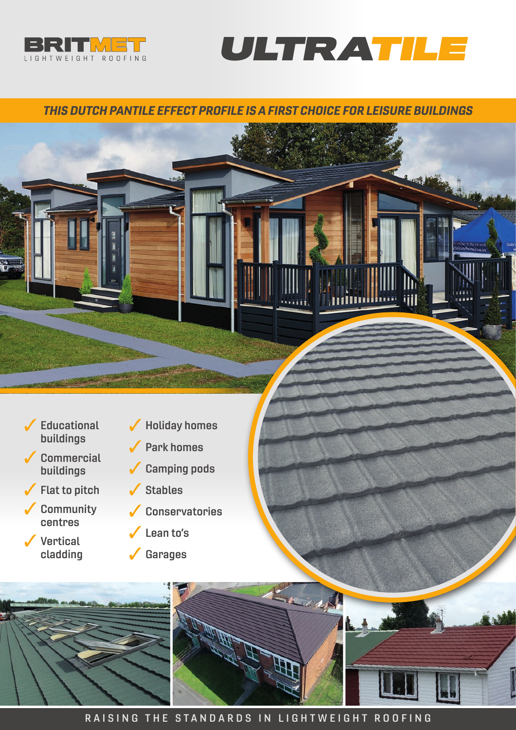



immlime

Jill

# THIS DUTCH PANTILE EFFECT PROFILE IS A FIRST CHOICE FOR LEISURE BUILDINGS

- $\sqrt{\phantom{a}}$  Educational buildings
- Commercial buildings
- Flat to pitch  $\checkmark$
- **Community** centres
- ✔ Vertical cladding
- Holiday homes  $\checkmark$ 
	- Park homes
- Camping pods  $\checkmark$ 
	- Stables
- Conservatories
- Lean to's
- $\checkmark$ Garages